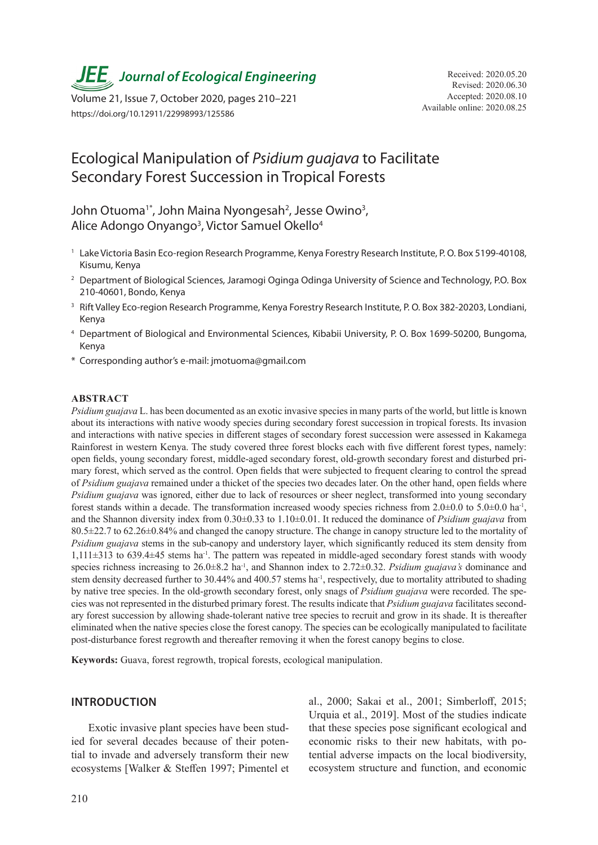**JEE** Journal of Ecological Engineering Received: 2020.05.20

Available online: 2020.08.25 Volume 21, Issue 7, October 2020, pages 210–221 https://doi.org/10.12911/22998993/125586

# Ecological Manipulation of *Psidium guajava* to Facilitate Secondary Forest Succession in Tropical Forests

## John Otuoma<sup>1\*</sup>, John Maina Nyongesah<sup>2</sup>, Jesse Owino<sup>3</sup>, Alice Adongo Onyango<sup>3</sup>, Victor Samuel Okello<sup>4</sup>

- <sup>1</sup> Lake Victoria Basin Eco-region Research Programme, Kenya Forestry Research Institute, P.O. Box 5199-40108, Kisumu, Kenya
- <sup>2</sup> Department of Biological Sciences, Jaramogi Oginga Odinga University of Science and Technology, P.O. Box 210-40601, Bondo, Kenya
- <sup>3</sup> Rift Valley Eco-region Research Programme, Kenya Forestry Research Institute, P.O. Box 382-20203, Londiani, Kenya
- <sup>4</sup> Department of Biological and Environmental Sciences, Kibabii University, P. O. Box 1699-50200, Bungoma, Kenya
- \* Corresponding author's e-mail: jmotuoma@gmail.com

#### **ABSTRACT**

*Psidium guajava* L. has been documented as an exotic invasive species in many parts of the world, but little is known about its interactions with native woody species during secondary forest succession in tropical forests. Its invasion and interactions with native species in different stages of secondary forest succession were assessed in Kakamega Rainforest in western Kenya. The study covered three forest blocks each with five different forest types, namely: open fields, young secondary forest, middle-aged secondary forest, old-growth secondary forest and disturbed primary forest, which served as the control. Open fields that were subjected to frequent clearing to control the spread of *Psidium guajava* remained under a thicket of the species two decades later. On the other hand, open fields where *Psidium guajava* was ignored, either due to lack of resources or sheer neglect, transformed into young secondary forest stands within a decade. The transformation increased woody species richness from  $2.0\pm0.0$  to  $5.0\pm0.0$  ha<sup>-1</sup>, and the Shannon diversity index from 0.30±0.33 to 1.10±0.01. It reduced the dominance of *Psidium guajava* from 80.5±22.7 to 62.26±0.84% and changed the canopy structure. The change in canopy structure led to the mortality of *Psidium guajava* stems in the sub-canopy and understory layer, which significantly reduced its stem density from  $1.111\pm313$  to 639.4 $\pm45$  stems ha<sup>-1</sup>. The pattern was repeated in middle-aged secondary forest stands with woody species richness increasing to 26.0±8.2 ha<sup>-1</sup>, and Shannon index to 2.72±0.32. *Psidium guajava's* dominance and stem density decreased further to 30.44% and 400.57 stems ha<sup>-1</sup>, respectively, due to mortality attributed to shading by native tree species. In the old-growth secondary forest, only snags of *Psidium guajava* were recorded. The species was not represented in the disturbed primary forest. The results indicate that *Psidium guajava* facilitates secondary forest succession by allowing shade-tolerant native tree species to recruit and grow in its shade. It is thereafter eliminated when the native species close the forest canopy. The species can be ecologically manipulated to facilitate post-disturbance forest regrowth and thereafter removing it when the forest canopy begins to close.

**Keywords:** Guava, forest regrowth, tropical forests, ecological manipulation.

#### **INTRODUCTION**

Exotic invasive plant species have been studied for several decades because of their potential to invade and adversely transform their new ecosystems [Walker & Steffen 1997; Pimentel et

al., 2000; Sakai et al., 2001; Simberloff, 2015; Urquia et al., 2019]. Most of the studies indicate that these species pose significant ecological and economic risks to their new habitats, with potential adverse impacts on the local biodiversity, ecosystem structure and function, and economic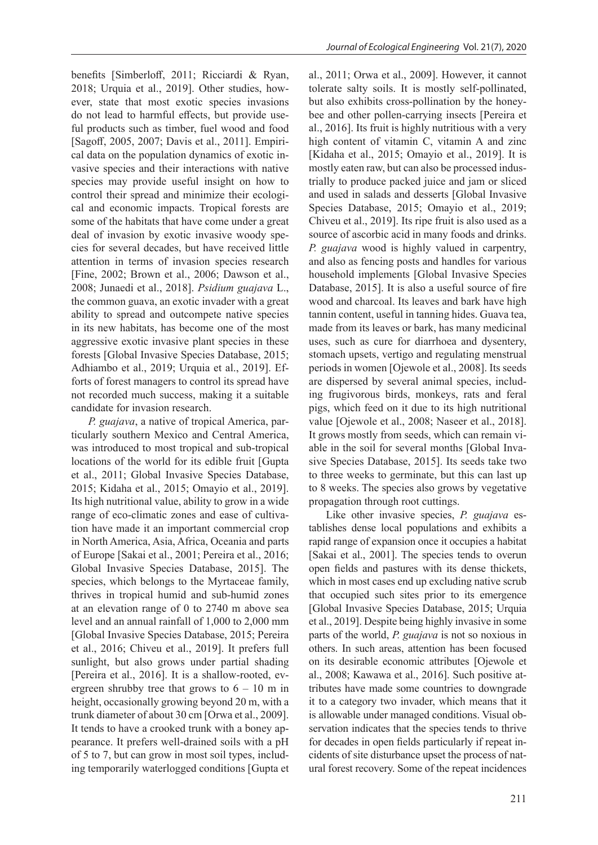benefits [Simberloff, 2011; Ricciardi & Ryan, 2018; Urquia et al., 2019]. Other studies, however, state that most exotic species invasions do not lead to harmful effects, but provide useful products such as timber, fuel wood and food [Sagoff, 2005, 2007; Davis et al., 2011]. Empirical data on the population dynamics of exotic invasive species and their interactions with native species may provide useful insight on how to control their spread and minimize their ecological and economic impacts. Tropical forests are some of the habitats that have come under a great deal of invasion by exotic invasive woody species for several decades, but have received little attention in terms of invasion species research [Fine, 2002; Brown et al., 2006; Dawson et al., 2008; Junaedi et al., 2018]. *Psidium guajava* L., the common guava, an exotic invader with a great ability to spread and outcompete native species in its new habitats, has become one of the most aggressive exotic invasive plant species in these forests [Global Invasive Species Database, 2015; Adhiambo et al., 2019; Urquia et al., 2019]. Efforts of forest managers to control its spread have not recorded much success, making it a suitable candidate for invasion research.

*P. guajava*, a native of tropical America, particularly southern Mexico and Central America, was introduced to most tropical and sub-tropical locations of the world for its edible fruit [Gupta et al., 2011; Global Invasive Species Database, 2015; Kidaha et al., 2015; Omayio et al., 2019]. Its high nutritional value, ability to grow in a wide range of eco-climatic zones and ease of cultivation have made it an important commercial crop in North America, Asia, Africa, Oceania and parts of Europe [Sakai et al., 2001; Pereira et al., 2016; Global Invasive Species Database, 2015]. The species, which belongs to the Myrtaceae family, thrives in tropical humid and sub-humid zones at an elevation range of 0 to 2740 m above sea level and an annual rainfall of 1,000 to 2,000 mm [Global Invasive Species Database, 2015; Pereira et al., 2016; Chiveu et al., 2019]. It prefers full sunlight, but also grows under partial shading [Pereira et al., 2016]. It is a shallow-rooted, evergreen shrubby tree that grows to  $6 - 10$  m in height, occasionally growing beyond 20 m, with a trunk diameter of about 30 cm [Orwa et al., 2009]. It tends to have a crooked trunk with a boney appearance. It prefers well-drained soils with a pH of 5 to 7, but can grow in most soil types, including temporarily waterlogged conditions [Gupta et al., 2011; Orwa et al., 2009]. However, it cannot tolerate salty soils. It is mostly self-pollinated, but also exhibits cross-pollination by the honeybee and other pollen-carrying insects [Pereira et al., 2016]. Its fruit is highly nutritious with a very high content of vitamin C, vitamin A and zinc [Kidaha et al., 2015; Omayio et al., 2019]. It is mostly eaten raw, but can also be processed industrially to produce packed juice and jam or sliced and used in salads and desserts [Global Invasive Species Database, 2015; Omayio et al., 2019; Chiveu et al., 2019]. Its ripe fruit is also used as a source of ascorbic acid in many foods and drinks. *P. guajava* wood is highly valued in carpentry, and also as fencing posts and handles for various household implements [Global Invasive Species Database, 2015]. It is also a useful source of fire wood and charcoal. Its leaves and bark have high tannin content, useful in tanning hides. Guava tea, made from its leaves or bark, has many medicinal uses, such as cure for diarrhoea and dysentery, stomach upsets, vertigo and regulating menstrual periods in women [Ojewole et al., 2008]. Its seeds are dispersed by several animal species, including frugivorous birds, monkeys, rats and feral pigs, which feed on it due to its high nutritional value [Ojewole et al., 2008; Naseer et al., 2018]. It grows mostly from seeds, which can remain viable in the soil for several months [Global Invasive Species Database, 2015]. Its seeds take two to three weeks to germinate, but this can last up to 8 weeks. The species also grows by vegetative propagation through root cuttings.

Like other invasive species, *P. guajava* establishes dense local populations and exhibits a rapid range of expansion once it occupies a habitat [Sakai et al., 2001]. The species tends to overun open fields and pastures with its dense thickets, which in most cases end up excluding native scrub that occupied such sites prior to its emergence [Global Invasive Species Database, 2015; Urquia et al., 2019]. Despite being highly invasive in some parts of the world, *P. guajava* is not so noxious in others. In such areas, attention has been focused on its desirable economic attributes [Ojewole et al., 2008; Kawawa et al., 2016]. Such positive attributes have made some countries to downgrade it to a category two invader, which means that it is allowable under managed conditions. Visual observation indicates that the species tends to thrive for decades in open fields particularly if repeat incidents of site disturbance upset the process of natural forest recovery. Some of the repeat incidences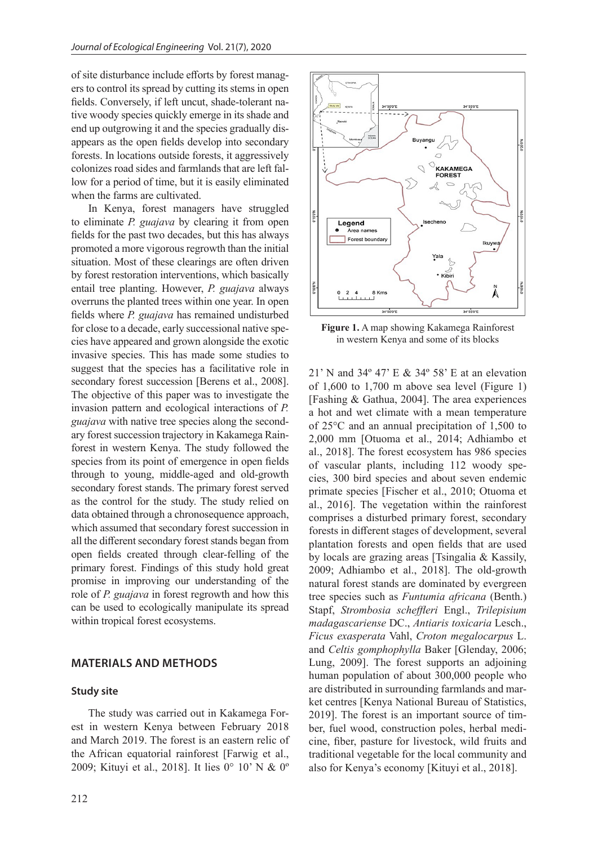of site disturbance include efforts by forest managers to control its spread by cutting its stems in open fields. Conversely, if left uncut, shade-tolerant native woody species quickly emerge in its shade and end up outgrowing it and the species gradually disappears as the open fields develop into secondary forests. In locations outside forests, it aggressively colonizes road sides and farmlands that are left fallow for a period of time, but it is easily eliminated when the farms are cultivated.

In Kenya, forest managers have struggled to eliminate *P. guajava* by clearing it from open fields for the past two decades, but this has always promoted a more vigorous regrowth than the initial situation. Most of these clearings are often driven by forest restoration interventions, which basically entail tree planting. However, *P. guajava* always overruns the planted trees within one year. In open fields where *P. guajava* has remained undisturbed for close to a decade, early successional native species have appeared and grown alongside the exotic invasive species. This has made some studies to suggest that the species has a facilitative role in secondary forest succession [Berens et al., 2008]. The objective of this paper was to investigate the invasion pattern and ecological interactions of *P. guajava* with native tree species along the secondary forest succession trajectory in Kakamega Rainforest in western Kenya. The study followed the species from its point of emergence in open fields through to young, middle-aged and old-growth secondary forest stands. The primary forest served as the control for the study. The study relied on data obtained through a chronosequence approach, which assumed that secondary forest succession in all the different secondary forest stands began from open fields created through clear-felling of the primary forest. Findings of this study hold great promise in improving our understanding of the role of *P. guajava* in forest regrowth and how this can be used to ecologically manipulate its spread within tropical forest ecosystems.

## **MATERIALS AND METHODS**

#### **Study site**

The study was carried out in Kakamega Forest in western Kenya between February 2018 and March 2019. The forest is an eastern relic of the African equatorial rainforest [Farwig et al., 2009; Kituyi et al., 2018]. It lies 0° 10' N & 0º



**Figure 1.** A map showing Kakamega Rainforest in western Kenya and some of its blocks

21' N and 34º 47' E & 34º 58' E at an elevation of 1,600 to 1,700 m above sea level (Figure 1) [Fashing & Gathua, 2004]. The area experiences a hot and wet climate with a mean temperature of 25°C and an annual precipitation of 1,500 to 2,000 mm [Otuoma et al., 2014; Adhiambo et al., 2018]. The forest ecosystem has 986 species of vascular plants, including 112 woody species, 300 bird species and about seven endemic primate species [Fischer et al., 2010; Otuoma et al., 2016]. The vegetation within the rainforest comprises a disturbed primary forest, secondary forests in different stages of development, several plantation forests and open fields that are used by locals are grazing areas [Tsingalia & Kassily, 2009; Adhiambo et al., 2018]. The old-growth natural forest stands are dominated by evergreen tree species such as *Funtumia africana* (Benth.) Stapf, *Strombosia scheffleri* Engl., *Trilepisium madagascariense* DC., *Antiaris toxicaria* Lesch., *Ficus exasperata* Vahl, *Croton megalocarpus* L. and *Celtis gomphophylla* Baker [Glenday, 2006; Lung, 2009]. The forest supports an adjoining human population of about 300,000 people who are distributed in surrounding farmlands and market centres [Kenya National Bureau of Statistics, 2019]. The forest is an important source of timber, fuel wood, construction poles, herbal medicine, fiber, pasture for livestock, wild fruits and traditional vegetable for the local community and also for Kenya's economy [Kituyi et al., 2018].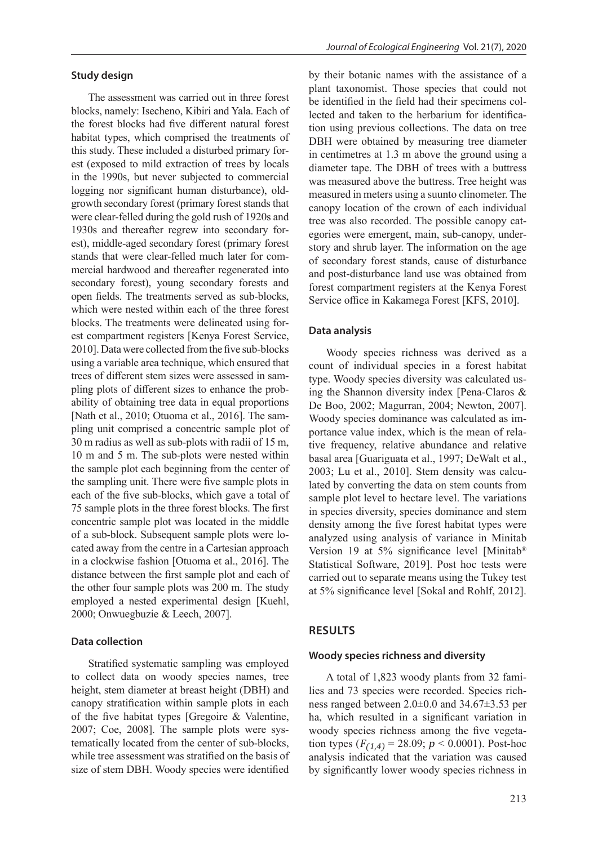#### **Study design**

The assessment was carried out in three forest blocks, namely: Isecheno, Kibiri and Yala. Each of the forest blocks had five different natural forest habitat types, which comprised the treatments of this study. These included a disturbed primary forest (exposed to mild extraction of trees by locals in the 1990s, but never subjected to commercial logging nor significant human disturbance), oldgrowth secondary forest (primary forest stands that were clear-felled during the gold rush of 1920s and 1930s and thereafter regrew into secondary forest), middle-aged secondary forest (primary forest stands that were clear-felled much later for commercial hardwood and thereafter regenerated into secondary forest), young secondary forests and open fields. The treatments served as sub-blocks, which were nested within each of the three forest blocks. The treatments were delineated using forest compartment registers [Kenya Forest Service, 2010]. Data were collected from the five sub-blocks using a variable area technique, which ensured that trees of different stem sizes were assessed in sampling plots of different sizes to enhance the probability of obtaining tree data in equal proportions [Nath et al., 2010; Otuoma et al., 2016]. The sampling unit comprised a concentric sample plot of 30 m radius as well as sub-plots with radii of 15 m, 10 m and 5 m. The sub-plots were nested within the sample plot each beginning from the center of the sampling unit. There were five sample plots in each of the five sub-blocks, which gave a total of 75 sample plots in the three forest blocks. The first concentric sample plot was located in the middle of a sub-block. Subsequent sample plots were located away from the centre in a Cartesian approach in a clockwise fashion [Otuoma et al., 2016]. The distance between the first sample plot and each of the other four sample plots was 200 m. The study employed a nested experimental design [Kuehl, 2000; Onwuegbuzie & Leech, 2007].

#### **Data collection**

Stratified systematic sampling was employed to collect data on woody species names, tree height, stem diameter at breast height (DBH) and canopy stratification within sample plots in each of the five habitat types [Gregoire & Valentine, 2007; Coe, 2008]. The sample plots were systematically located from the center of sub-blocks, while tree assessment was stratified on the basis of size of stem DBH. Woody species were identified

by their botanic names with the assistance of a plant taxonomist. Those species that could not be identified in the field had their specimens collected and taken to the herbarium for identification using previous collections. The data on tree DBH were obtained by measuring tree diameter in centimetres at 1.3 m above the ground using a diameter tape. The DBH of trees with a buttress was measured above the buttress. Tree height was measured in meters using a suunto clinometer. The canopy location of the crown of each individual tree was also recorded. The possible canopy categories were emergent, main, sub-canopy, understory and shrub layer. The information on the age of secondary forest stands, cause of disturbance and post-disturbance land use was obtained from forest compartment registers at the Kenya Forest Service office in Kakamega Forest [KFS, 2010].

#### **Data analysis**

Woody species richness was derived as a count of individual species in a forest habitat type. Woody species diversity was calculated using the Shannon diversity index [Pena-Claros & De Boo, 2002; Magurran, 2004; Newton, 2007]. Woody species dominance was calculated as importance value index, which is the mean of relative frequency, relative abundance and relative basal area [Guariguata et al., 1997; DeWalt et al., 2003; Lu et al., 2010]. Stem density was calculated by converting the data on stem counts from sample plot level to hectare level. The variations in species diversity, species dominance and stem density among the five forest habitat types were analyzed using analysis of variance in Minitab Version 19 at 5% significance level [Minitab® Statistical Software, 2019]. Post hoc tests were carried out to separate means using the Tukey test at 5% significance level [Sokal and Rohlf, 2012].

### **RESULTS**

#### **Woody species richness and diversity**

A total of 1,823 woody plants from 32 families and 73 species were recorded. Species richness ranged between 2.0±0.0 and 34.67±3.53 per ha, which resulted in a significant variation in woody species richness among the five vegetation types  $(F_{(1,4)} = 28.09; p < 0.0001)$ . Post-hoc analysis indicated that the variation was caused by significantly lower woody species richness in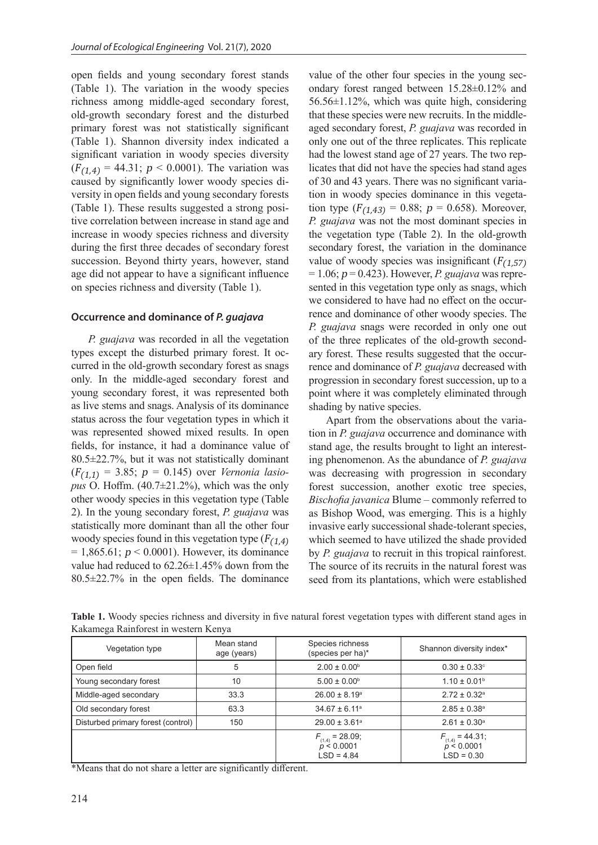open fields and young secondary forest stands (Table 1). The variation in the woody species richness among middle-aged secondary forest, old-growth secondary forest and the disturbed primary forest was not statistically significant (Table 1). Shannon diversity index indicated a significant variation in woody species diversity  $(F<sub>(1,4)</sub> = 44.31; p < 0.0001)$ . The variation was caused by significantly lower woody species diversity in open fields and young secondary forests (Table 1). These results suggested a strong positive correlation between increase in stand age and increase in woody species richness and diversity during the first three decades of secondary forest succession. Beyond thirty years, however, stand age did not appear to have a significant influence on species richness and diversity (Table 1).

#### **Occurrence and dominance of** *P. guajava*

*P. guajava* was recorded in all the vegetation types except the disturbed primary forest. It occurred in the old-growth secondary forest as snags only. In the middle-aged secondary forest and young secondary forest, it was represented both as live stems and snags. Analysis of its dominance status across the four vegetation types in which it was represented showed mixed results. In open fields, for instance, it had a dominance value of 80.5±22.7%, but it was not statistically dominant (<sup>F</sup>(1,1) = 3.85; p = 0.145) over *Vernonia lasiopus* O. Hoffm. (40.7±21.2%), which was the only other woody species in this vegetation type (Table 2). In the young secondary forest, *P. guajava* was statistically more dominant than all the other four woody species found in this vegetation type  $(F_{(1,4)})$  $= 1,865.61$ ;  $p < 0.0001$ ). However, its dominance value had reduced to 62.26±1.45% down from the 80.5±22.7% in the open fields. The dominance

value of the other four species in the young secondary forest ranged between 15.28±0.12% and 56.56±1.12%, which was quite high, considering that these species were new recruits. In the middleaged secondary forest, *P. guajava* was recorded in only one out of the three replicates. This replicate had the lowest stand age of 27 years. The two replicates that did not have the species had stand ages of 30 and 43 years. There was no significant variation in woody species dominance in this vegetation type  $(F_{(1,43)} = 0.88; p = 0.658)$ . Moreover, *P. guajava* was not the most dominant species in the vegetation type (Table 2). In the old-growth secondary forest, the variation in the dominance value of woody species was insignificant  $(F<sub>(1.57)</sub>)$  $= 1.06$ ;  $p = 0.423$ ). However, *P. guajava* was represented in this vegetation type only as snags, which we considered to have had no effect on the occurrence and dominance of other woody species. The *P. guajava* snags were recorded in only one out of the three replicates of the old-growth secondary forest. These results suggested that the occurrence and dominance of *P. guajava* decreased with progression in secondary forest succession, up to a point where it was completely eliminated through shading by native species.

Apart from the observations about the variation in *P. guajava* occurrence and dominance with stand age, the results brought to light an interesting phenomenon. As the abundance of *P. guajava* was decreasing with progression in secondary forest succession, another exotic tree species, *Bischofia javanica* Blume – commonly referred to as Bishop Wood, was emerging. This is a highly invasive early successional shade-tolerant species, which seemed to have utilized the shade provided by *P. guajava* to recruit in this tropical rainforest. The source of its recruits in the natural forest was seed from its plantations, which were established

| Vegetation type                    | Mean stand<br>age (years) | Species richness<br>(species per ha)*              | Shannon diversity index*                           |
|------------------------------------|---------------------------|----------------------------------------------------|----------------------------------------------------|
| Open field                         | 5                         | $2.00 \pm 0.00^{\circ}$                            | $0.30 \pm 0.33$ °                                  |
| Young secondary forest             | 10                        | $5.00 \pm 0.00^{\circ}$                            | $1.10 \pm 0.01$ <sup>b</sup>                       |
| Middle-aged secondary              | 33.3                      | $26.00 \pm 8.19^{\circ}$                           | $2.72 \pm 0.32$ <sup>a</sup>                       |
| Old secondary forest               | 63.3                      | $34.67 \pm 6.11^{\circ}$                           | $2.85 \pm 0.38$ <sup>a</sup>                       |
| Disturbed primary forest (control) | 150                       | $29.00 \pm 3.61^{\circ}$                           | $2.61 \pm 0.30^{\circ}$                            |
|                                    |                           | $F_{(1,4)} = 28.09;$<br>p < 0.0001<br>$LSD = 4.84$ | $F_{(1,4)} = 44.31;$<br>p < 0.0001<br>$LSD = 0.30$ |

**Table 1.** Woody species richness and diversity in five natural forest vegetation types with different stand ages in Kakamega Rainforest in western Kenya

\*Means that do not share a letter are significantly different.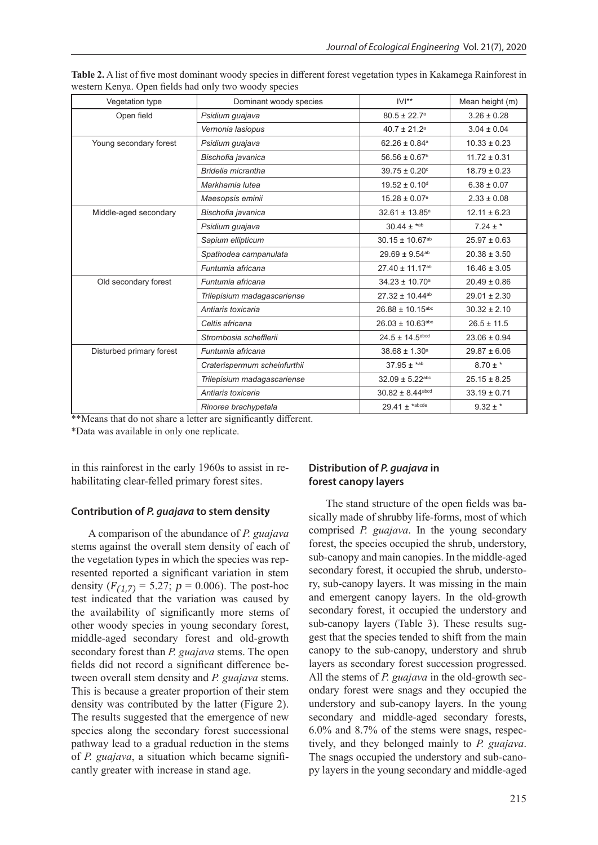| Vegetation type          | Dominant woody species       | $IVI**$                          | Mean height (m)  |
|--------------------------|------------------------------|----------------------------------|------------------|
| Open field               | Psidium guajava              | $80.5 \pm 22.7$ <sup>a</sup>     | $3.26 \pm 0.28$  |
|                          | Vernonia lasiopus            | $40.7 \pm 21.2$ <sup>a</sup>     | $3.04 \pm 0.04$  |
| Young secondary forest   | Psidium quajava              | $62.26 \pm 0.84$ <sup>a</sup>    | $10.33 \pm 0.23$ |
|                          | Bischofia javanica           | $56.56 \pm 0.67$ <sup>b</sup>    | $11.72 \pm 0.31$ |
|                          | Bridelia micrantha           | $39.75 \pm 0.20$ °               | $18.79 \pm 0.23$ |
|                          | Markhamia lutea              | $19.52 \pm 0.10$ <sup>d</sup>    | $6.38 \pm 0.07$  |
|                          | Maesopsis eminii             | $15.28 \pm 0.07$ <sup>e</sup>    | $2.33 \pm 0.08$  |
| Middle-aged secondary    | Bischofia javanica           | 32.61 ± 13.85 <sup>a</sup>       | $12.11 \pm 6.23$ |
|                          | Psidium guajava              | $30.44 \pm \text{*ab}$           | $7.24 \pm *$     |
|                          | Sapium ellipticum            | $30.15 \pm 10.67$ <sup>ab</sup>  | $25.97 \pm 0.63$ |
|                          | Spathodea campanulata        | $29.69 \pm 9.54^{ab}$            | $20.38 \pm 3.50$ |
|                          | Funtumia africana            | 27.40 ± 11.17 <sup>ab</sup>      | $16.46 \pm 3.05$ |
| Old secondary forest     | Funtumia africana            | $34.23 \pm 10.70$ <sup>a</sup>   | $20.49 \pm 0.86$ |
|                          | Trilepisium madagascariense  | 27.32 ± 10.44 <sup>ab</sup>      | $29.01 \pm 2.30$ |
|                          | Antiaris toxicaria           | $26.88 \pm 10.15$ abc            | $30.32 \pm 2.10$ |
|                          | Celtis africana              | $26.03 \pm 10.63$ <sup>abc</sup> | $26.5 \pm 11.5$  |
|                          | Strombosia schefflerii       | $24.5 \pm 14.5$ abcd             | $23.06 \pm 0.94$ |
| Disturbed primary forest | Funtumia africana            | $38.68 \pm 1.30^a$               | $29.87 \pm 6.06$ |
|                          | Craterispermum scheinfurthii | $37.95 \pm ^{*ab}$               | $8.70 \pm *$     |
|                          | Trilepisium madagascariense  | 32.09 ± 5.22abc                  | $25.15 \pm 8.25$ |
|                          | Antiaris toxicaria           | $30.82 \pm 8.44$ <sup>abcd</sup> | $33.19 \pm 0.71$ |
|                          | Rinorea brachypetala         | $29.41 \pm \text{*abcde}$        | $9.32 \pm$ *     |

**Table 2.** A list of five most dominant woody species in different forest vegetation types in Kakamega Rainforest in western Kenya. Open fields had only two woody species

\*\*Means that do not share a letter are significantly different.

\*Data was available in only one replicate.

in this rainforest in the early 1960s to assist in rehabilitating clear-felled primary forest sites.

## **Contribution of** *P. guajava* **to stem density**

A comparison of the abundance of *P. guajava*  stems against the overall stem density of each of the vegetation types in which the species was represented reported a significant variation in stem density  $(F_{(1,7)} = 5.27; p = 0.006)$ . The post-hoc test indicated that the variation was caused by the availability of significantly more stems of other woody species in young secondary forest, middle-aged secondary forest and old-growth secondary forest than *P. guajava* stems. The open fields did not record a significant difference between overall stem density and *P. guajava* stems. This is because a greater proportion of their stem density was contributed by the latter (Figure 2). The results suggested that the emergence of new species along the secondary forest successional pathway lead to a gradual reduction in the stems of *P. guajava*, a situation which became significantly greater with increase in stand age.

## **Distribution of** *P. guajava* **in forest canopy layers**

The stand structure of the open fields was basically made of shrubby life-forms, most of which comprised *P. guajava*. In the young secondary forest, the species occupied the shrub, understory, sub-canopy and main canopies. In the middle-aged secondary forest, it occupied the shrub, understory, sub-canopy layers. It was missing in the main and emergent canopy layers. In the old-growth secondary forest, it occupied the understory and sub-canopy layers (Table 3). These results suggest that the species tended to shift from the main canopy to the sub-canopy, understory and shrub layers as secondary forest succession progressed. All the stems of *P. guajava* in the old-growth secondary forest were snags and they occupied the understory and sub-canopy layers. In the young secondary and middle-aged secondary forests, 6.0% and 8.7% of the stems were snags, respectively, and they belonged mainly to *P. guajava*. The snags occupied the understory and sub-canopy layers in the young secondary and middle-aged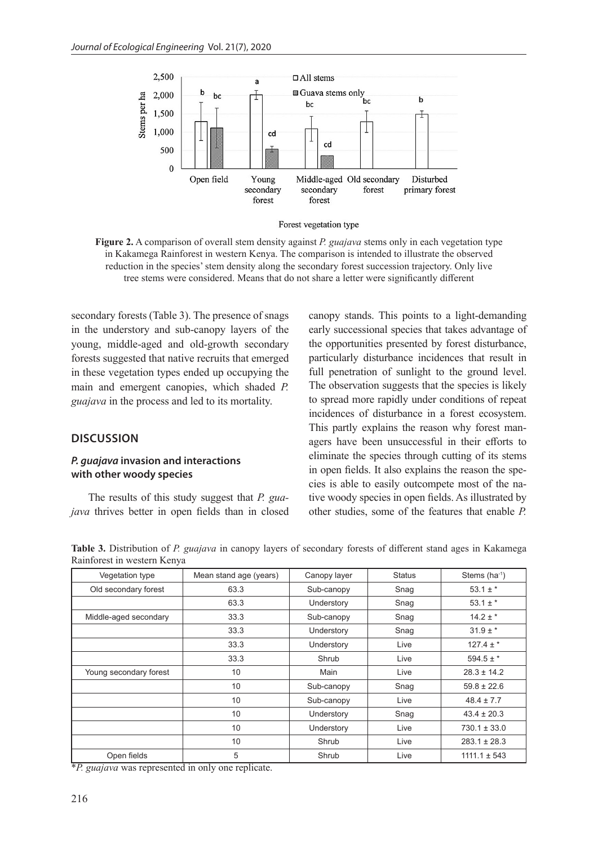

Forest vegetation type

**Figure 2.** A comparison of overall stem density against *P. guajava* stems only in each vegetation type in Kakamega Rainforest in western Kenya. The comparison is intended to illustrate the observed reduction in the species' stem density along the secondary forest succession trajectory. Only live tree stems were considered. Means that do not share a letter were significantly different

secondary forests (Table 3). The presence of snags in the understory and sub-canopy layers of the young, middle-aged and old-growth secondary forests suggested that native recruits that emerged in these vegetation types ended up occupying the main and emergent canopies, which shaded *P. guajava* in the process and led to its mortality.

## **DISCUSSION**

## *P. guajava* **invasion and interactions with other woody species**

The results of this study suggest that *P. guajava* thrives better in open fields than in closed canopy stands. This points to a light-demanding early successional species that takes advantage of the opportunities presented by forest disturbance, particularly disturbance incidences that result in full penetration of sunlight to the ground level. The observation suggests that the species is likely to spread more rapidly under conditions of repeat incidences of disturbance in a forest ecosystem. This partly explains the reason why forest managers have been unsuccessful in their efforts to eliminate the species through cutting of its stems in open fields. It also explains the reason the species is able to easily outcompete most of the native woody species in open fields. As illustrated by other studies, some of the features that enable *P.* 

**Table 3.** Distribution of *P. guajava* in canopy layers of secondary forests of different stand ages in Kakamega Rainforest in western Kenya

| Vegetation type        | Mean stand age (years) | Canopy layer | <b>Status</b> | Stems $(ha^{-1})$ |
|------------------------|------------------------|--------------|---------------|-------------------|
| Old secondary forest   | 63.3                   | Sub-canopy   | Snag          | $53.1 \pm$ *      |
|                        | 63.3                   | Understory   | Snag          | $53.1 \pm$ *      |
| Middle-aged secondary  | 33.3                   | Sub-canopy   | Snag          | $14.2 \pm$ *      |
|                        | 33.3                   | Understory   | Snag          | $31.9 \pm$ *      |
|                        | 33.3                   | Understory   | Live          | $127.4 \pm$ *     |
|                        | 33.3                   | Shrub        | Live          | $594.5 \pm$ *     |
| Young secondary forest | 10                     | Main         | Live          | $28.3 \pm 14.2$   |
|                        | 10                     | Sub-canopy   | Snag          | $59.8 \pm 22.6$   |
|                        | 10                     | Sub-canopy   | Live          | $48.4 \pm 7.7$    |
|                        | 10                     | Understory   | Snag          | $43.4 \pm 20.3$   |
|                        | 10                     | Understory   | Live          | $730.1 \pm 33.0$  |
|                        | 10                     | Shrub        | Live          | $283.1 \pm 28.3$  |
| Open fields            | 5                      | Shrub        | Live          | $1111.1 \pm 543$  |

\**P. guajava* was represented in only one replicate.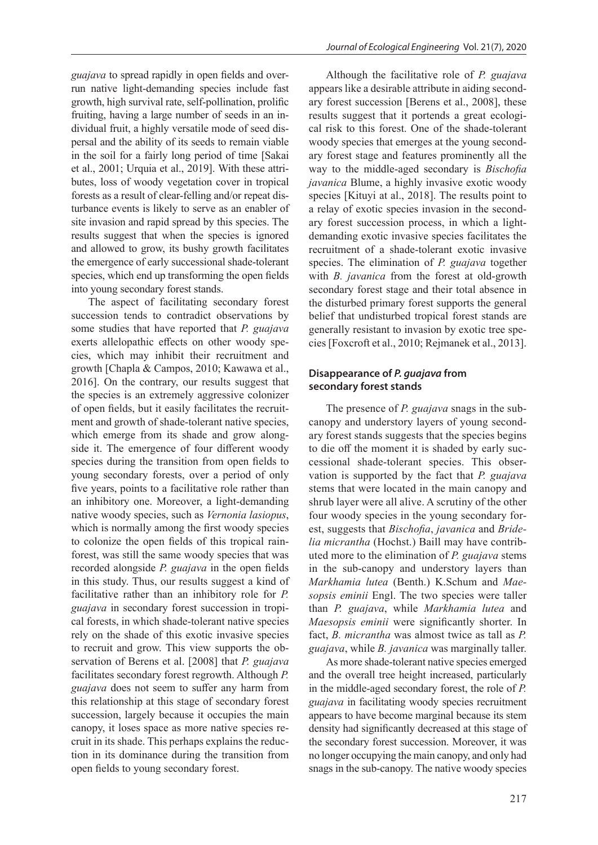*guajava* to spread rapidly in open fields and overrun native light-demanding species include fast growth, high survival rate, self-pollination, prolific fruiting, having a large number of seeds in an individual fruit, a highly versatile mode of seed dispersal and the ability of its seeds to remain viable in the soil for a fairly long period of time [Sakai et al., 2001; Urquia et al., 2019]. With these attributes, loss of woody vegetation cover in tropical forests as a result of clear-felling and/or repeat disturbance events is likely to serve as an enabler of site invasion and rapid spread by this species. The results suggest that when the species is ignored and allowed to grow, its bushy growth facilitates the emergence of early successional shade-tolerant species, which end up transforming the open fields into young secondary forest stands.

The aspect of facilitating secondary forest succession tends to contradict observations by some studies that have reported that *P. guajava*  exerts allelopathic effects on other woody species, which may inhibit their recruitment and growth [Chapla & Campos, 2010; Kawawa et al., 2016]. On the contrary, our results suggest that the species is an extremely aggressive colonizer of open fields, but it easily facilitates the recruitment and growth of shade-tolerant native species, which emerge from its shade and grow alongside it. The emergence of four different woody species during the transition from open fields to young secondary forests, over a period of only five years, points to a facilitative role rather than an inhibitory one. Moreover, a light-demanding native woody species, such as *Vernonia lasiopus*, which is normally among the first woody species to colonize the open fields of this tropical rainforest, was still the same woody species that was recorded alongside *P. guajava* in the open fields in this study. Thus, our results suggest a kind of facilitative rather than an inhibitory role for *P. guajava* in secondary forest succession in tropical forests, in which shade-tolerant native species rely on the shade of this exotic invasive species to recruit and grow. This view supports the observation of Berens et al. [2008] that *P. guajava*  facilitates secondary forest regrowth. Although *P. guajava* does not seem to suffer any harm from this relationship at this stage of secondary forest succession, largely because it occupies the main canopy, it loses space as more native species recruit in its shade. This perhaps explains the reduction in its dominance during the transition from open fields to young secondary forest.

Although the facilitative role of *P. guajava* appears like a desirable attribute in aiding secondary forest succession [Berens et al., 2008], these results suggest that it portends a great ecological risk to this forest. One of the shade-tolerant woody species that emerges at the young secondary forest stage and features prominently all the way to the middle-aged secondary is *Bischofia javanica* Blume, a highly invasive exotic woody species [Kituyi at al., 2018]. The results point to a relay of exotic species invasion in the secondary forest succession process, in which a lightdemanding exotic invasive species facilitates the recruitment of a shade-tolerant exotic invasive species. The elimination of *P. guajava* together with *B. javanica* from the forest at old-growth secondary forest stage and their total absence in the disturbed primary forest supports the general belief that undisturbed tropical forest stands are generally resistant to invasion by exotic tree species [Foxcroft et al., 2010; Rejmanek et al., 2013].

## **Disappearance of** *P. guajava* **from secondary forest stands**

The presence of *P. guajava* snags in the subcanopy and understory layers of young secondary forest stands suggests that the species begins to die off the moment it is shaded by early successional shade-tolerant species. This observation is supported by the fact that *P. guajava* stems that were located in the main canopy and shrub layer were all alive. A scrutiny of the other four woody species in the young secondary forest, suggests that *Bischofia*, *javanica* and *Bridelia micrantha* (Hochst.) Baill may have contributed more to the elimination of *P. guajava* stems in the sub-canopy and understory layers than *Markhamia lutea* (Benth.) K.Schum and *Maesopsis eminii* Engl. The two species were taller than *P. guajava*, while *Markhamia lutea* and *Maesopsis eminii* were significantly shorter. In fact, *B. micrantha* was almost twice as tall as *P. guajava*, while *B. javanica* was marginally taller.

As more shade-tolerant native species emerged and the overall tree height increased, particularly in the middle-aged secondary forest, the role of *P. guajava* in facilitating woody species recruitment appears to have become marginal because its stem density had significantly decreased at this stage of the secondary forest succession. Moreover, it was no longer occupying the main canopy, and only had snags in the sub-canopy. The native woody species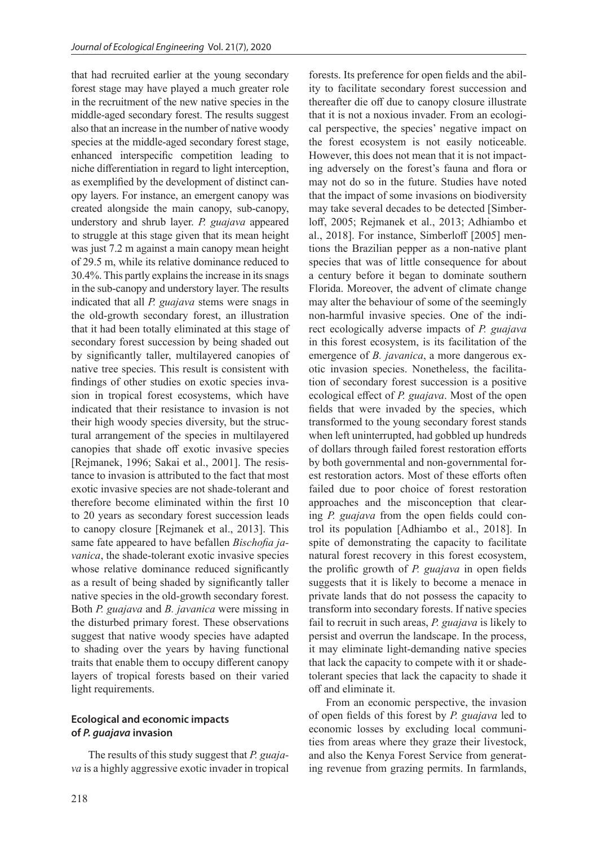that had recruited earlier at the young secondary forest stage may have played a much greater role in the recruitment of the new native species in the middle-aged secondary forest. The results suggest also that an increase in the number of native woody species at the middle-aged secondary forest stage, enhanced interspecific competition leading to niche differentiation in regard to light interception, as exemplified by the development of distinct canopy layers. For instance, an emergent canopy was created alongside the main canopy, sub-canopy, understory and shrub layer. *P. guajava* appeared to struggle at this stage given that its mean height was just 7.2 m against a main canopy mean height of 29.5 m, while its relative dominance reduced to 30.4%. This partly explains the increase in its snags in the sub-canopy and understory layer. The results indicated that all *P. guajava* stems were snags in the old-growth secondary forest, an illustration that it had been totally eliminated at this stage of secondary forest succession by being shaded out by significantly taller, multilayered canopies of native tree species. This result is consistent with findings of other studies on exotic species invasion in tropical forest ecosystems, which have indicated that their resistance to invasion is not their high woody species diversity, but the structural arrangement of the species in multilayered canopies that shade off exotic invasive species [Rejmanek, 1996; Sakai et al., 2001]. The resistance to invasion is attributed to the fact that most exotic invasive species are not shade-tolerant and therefore become eliminated within the first 10 to 20 years as secondary forest succession leads to canopy closure [Rejmanek et al., 2013]. This same fate appeared to have befallen *Bischofia javanica*, the shade-tolerant exotic invasive species whose relative dominance reduced significantly as a result of being shaded by significantly taller native species in the old-growth secondary forest. Both *P. guajava* and *B. javanica* were missing in the disturbed primary forest. These observations suggest that native woody species have adapted to shading over the years by having functional traits that enable them to occupy different canopy layers of tropical forests based on their varied light requirements.

## **Ecological and economic impacts of** *P. guajava* **invasion**

The results of this study suggest that *P. guajava* is a highly aggressive exotic invader in tropical forests. Its preference for open fields and the ability to facilitate secondary forest succession and thereafter die off due to canopy closure illustrate that it is not a noxious invader. From an ecological perspective, the species' negative impact on the forest ecosystem is not easily noticeable. However, this does not mean that it is not impacting adversely on the forest's fauna and flora or may not do so in the future. Studies have noted that the impact of some invasions on biodiversity may take several decades to be detected [Simberloff, 2005; Rejmanek et al., 2013; Adhiambo et al., 2018]. For instance, Simberloff [2005] mentions the Brazilian pepper as a non-native plant species that was of little consequence for about a century before it began to dominate southern Florida. Moreover, the advent of climate change may alter the behaviour of some of the seemingly non-harmful invasive species. One of the indirect ecologically adverse impacts of *P. guajava* in this forest ecosystem, is its facilitation of the emergence of *B. javanica*, a more dangerous exotic invasion species. Nonetheless, the facilitation of secondary forest succession is a positive ecological effect of *P. guajava*. Most of the open fields that were invaded by the species, which transformed to the young secondary forest stands when left uninterrupted, had gobbled up hundreds of dollars through failed forest restoration efforts by both governmental and non-governmental forest restoration actors. Most of these efforts often failed due to poor choice of forest restoration approaches and the misconception that clearing *P. guajava* from the open fields could control its population [Adhiambo et al., 2018]. In spite of demonstrating the capacity to facilitate natural forest recovery in this forest ecosystem, the prolific growth of *P. guajava* in open fields suggests that it is likely to become a menace in private lands that do not possess the capacity to transform into secondary forests. If native species fail to recruit in such areas, *P. guajava* is likely to persist and overrun the landscape. In the process, it may eliminate light-demanding native species that lack the capacity to compete with it or shadetolerant species that lack the capacity to shade it off and eliminate it.

From an economic perspective, the invasion of open fields of this forest by *P. guajava* led to economic losses by excluding local communities from areas where they graze their livestock, and also the Kenya Forest Service from generating revenue from grazing permits. In farmlands,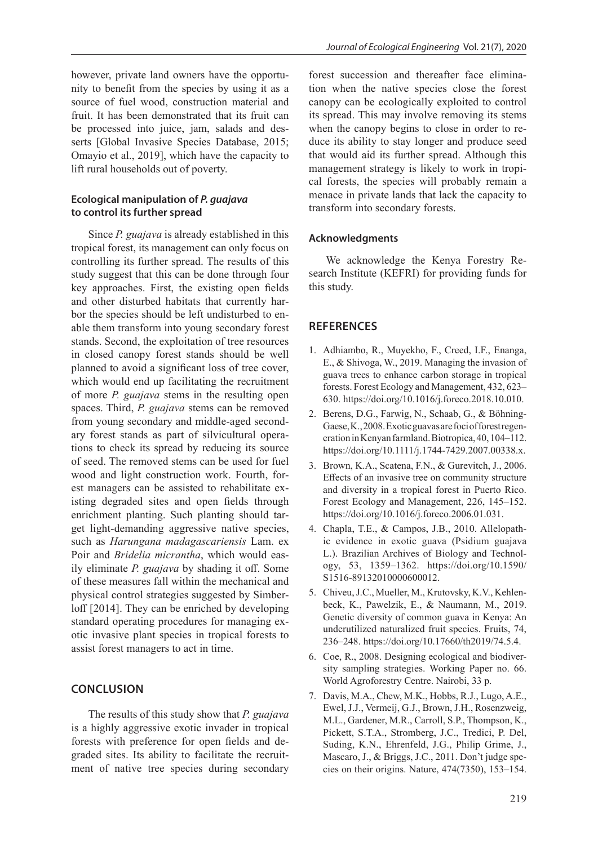however, private land owners have the opportunity to benefit from the species by using it as a source of fuel wood, construction material and fruit. It has been demonstrated that its fruit can be processed into juice, jam, salads and desserts [Global Invasive Species Database, 2015; Omayio et al., 2019], which have the capacity to lift rural households out of poverty.

## **Ecological manipulation of** *P. guajava* **to control its further spread**

Since *P. guajava* is already established in this tropical forest, its management can only focus on controlling its further spread. The results of this study suggest that this can be done through four key approaches. First, the existing open fields and other disturbed habitats that currently harbor the species should be left undisturbed to enable them transform into young secondary forest stands. Second, the exploitation of tree resources in closed canopy forest stands should be well planned to avoid a significant loss of tree cover, which would end up facilitating the recruitment of more *P. guajava* stems in the resulting open spaces. Third, *P. guajava* stems can be removed from young secondary and middle-aged secondary forest stands as part of silvicultural operations to check its spread by reducing its source of seed. The removed stems can be used for fuel wood and light construction work. Fourth, forest managers can be assisted to rehabilitate existing degraded sites and open fields through enrichment planting. Such planting should target light-demanding aggressive native species, such as *Harungana madagascariensis* Lam. ex Poir and *Bridelia micrantha*, which would easily eliminate *P. guajava* by shading it off. Some of these measures fall within the mechanical and physical control strategies suggested by Simberloff [2014]. They can be enriched by developing standard operating procedures for managing exotic invasive plant species in tropical forests to assist forest managers to act in time.

## **CONCLUSION**

The results of this study show that *P. guajava*  is a highly aggressive exotic invader in tropical forests with preference for open fields and degraded sites. Its ability to facilitate the recruitment of native tree species during secondary forest succession and thereafter face elimination when the native species close the forest canopy can be ecologically exploited to control its spread. This may involve removing its stems when the canopy begins to close in order to reduce its ability to stay longer and produce seed that would aid its further spread. Although this management strategy is likely to work in tropical forests, the species will probably remain a menace in private lands that lack the capacity to transform into secondary forests.

#### **Acknowledgments**

We acknowledge the Kenya Forestry Research Institute (KEFRI) for providing funds for this study.

#### **REFERENCES**

- 1. Adhiambo, R., Muyekho, F., Creed, I.F., Enanga, E., & Shivoga, W., 2019. Managing the invasion of guava trees to enhance carbon storage in tropical forests. Forest Ecology and Management, 432, 623– 630. https://doi.org/10.1016/j.foreco.2018.10.010.
- 2. Berens, D.G., Farwig, N., Schaab, G., & Böhning-Gaese, K., 2008. Exotic guavas are foci of forest regeneration in Kenyan farmland. Biotropica, 40, 104–112. https://doi.org/10.1111/j.1744-7429.2007.00338.x.
- 3. Brown, K.A., Scatena, F.N., & Gurevitch, J., 2006. Effects of an invasive tree on community structure and diversity in a tropical forest in Puerto Rico. Forest Ecology and Management, 226, 145–152. https://doi.org/10.1016/j.foreco.2006.01.031.
- 4. Chapla, T.E., & Campos, J.B., 2010. Allelopathic evidence in exotic guava (Psidium guajava L.). Brazilian Archives of Biology and Technology, 53, 1359–1362. https://doi.org/10.1590/ S1516-89132010000600012.
- 5. Chiveu, J.C., Mueller, M., Krutovsky, K.V., Kehlenbeck, K., Pawelzik, E., & Naumann, M., 2019. Genetic diversity of common guava in Kenya: An underutilized naturalized fruit species. Fruits, 74, 236–248. https://doi.org/10.17660/th2019/74.5.4.
- 6. Coe, R., 2008. Designing ecological and biodiversity sampling strategies. Working Paper no. 66. World Agroforestry Centre. Nairobi, 33 p.
- 7. Davis, M.A., Chew, M.K., Hobbs, R.J., Lugo, A.E., Ewel, J.J., Vermeij, G.J., Brown, J.H., Rosenzweig, M.L., Gardener, M.R., Carroll, S.P., Thompson, K., Pickett, S.T.A., Stromberg, J.C., Tredici, P. Del, Suding, K.N., Ehrenfeld, J.G., Philip Grime, J., Mascaro, J., & Briggs, J.C., 2011. Don't judge species on their origins. Nature, 474(7350), 153–154.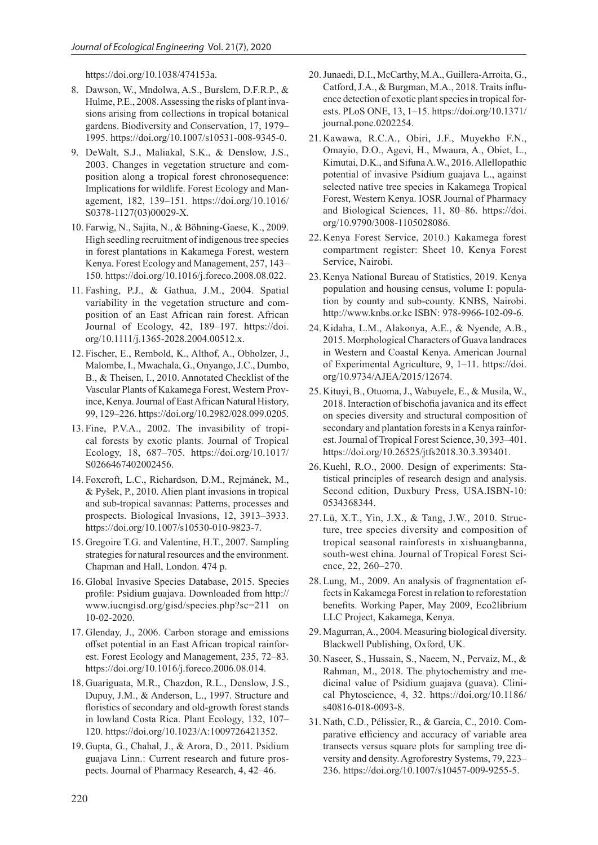https://doi.org/10.1038/474153a.

- 8. Dawson, W., Mndolwa, A.S., Burslem, D.F.R.P., & Hulme, P.E., 2008. Assessing the risks of plant invasions arising from collections in tropical botanical gardens. Biodiversity and Conservation, 17, 1979– 1995. https://doi.org/10.1007/s10531-008-9345-0.
- 9. DeWalt, S.J., Maliakal, S.K., & Denslow, J.S., 2003. Changes in vegetation structure and composition along a tropical forest chronosequence: Implications for wildlife. Forest Ecology and Management, 182, 139–151. https://doi.org/10.1016/ S0378-1127(03)00029-X.
- 10. Farwig, N., Sajita, N., & Böhning-Gaese, K., 2009. High seedling recruitment of indigenous tree species in forest plantations in Kakamega Forest, western Kenya. Forest Ecology and Management, 257, 143– 150. https://doi.org/10.1016/j.foreco.2008.08.022.
- 11. Fashing, P.J., & Gathua, J.M., 2004. Spatial variability in the vegetation structure and composition of an East African rain forest. African Journal of Ecology, 42, 189–197. https://doi. org/10.1111/j.1365-2028.2004.00512.x.
- 12. Fischer, E., Rembold, K., Althof, A., Obholzer, J., Malombe, I., Mwachala, G., Onyango, J.C., Dumbo, B., & Theisen, I., 2010. Annotated Checklist of the Vascular Plants of Kakamega Forest, Western Province, Kenya. Journal of East African Natural History, 99, 129–226. https://doi.org/10.2982/028.099.0205.
- 13. Fine, P.V.A., 2002. The invasibility of tropical forests by exotic plants. Journal of Tropical Ecology, 18, 687–705. https://doi.org/10.1017/ S0266467402002456.
- 14. Foxcroft, L.C., Richardson, D.M., Rejmánek, M., & Pyšek, P., 2010. Alien plant invasions in tropical and sub-tropical savannas: Patterns, processes and prospects. Biological Invasions, 12, 3913–3933. https://doi.org/10.1007/s10530-010-9823-7.
- 15. Gregoire T.G. and Valentine, H.T., 2007. Sampling strategies for natural resources and the environment. Chapman and Hall, London. 474 p.
- 16. Global Invasive Species Database, 2015. Species profile: Psidium guajava. Downloaded from http:// www.iucngisd.org/gisd/species.php?sc=211 on 10-02-2020.
- 17. Glenday, J., 2006. Carbon storage and emissions offset potential in an East African tropical rainforest. Forest Ecology and Management, 235, 72–83. https://doi.org/10.1016/j.foreco.2006.08.014.
- 18. Guariguata, M.R., Chazdon, R.L., Denslow, J.S., Dupuy, J.M., & Anderson, L., 1997. Structure and floristics of secondary and old-growth forest stands in lowland Costa Rica. Plant Ecology, 132, 107– 120. https://doi.org/10.1023/A:1009726421352.
- 19. Gupta, G., Chahal, J., & Arora, D., 2011. Psidium guajava Linn.: Current research and future prospects. Journal of Pharmacy Research, 4, 42–46.
- 20.Junaedi, D.I., McCarthy, M.A., Guillera-Arroita, G., Catford, J.A., & Burgman, M.A., 2018. Traits influence detection of exotic plant species in tropical forests. PLoS ONE, 13, 1–15. https://doi.org/10.1371/ journal.pone.0202254.
- 21. Kawawa, R.C.A., Obiri, J.F., Muyekho F.N., Omayio, D.O., Agevi, H., Mwaura, A., Obiet, L., Kimutai, D.K., and Sifuna A.W., 2016. Allellopathic potential of invasive Psidium guajava L., against selected native tree species in Kakamega Tropical Forest, Western Kenya. IOSR Journal of Pharmacy and Biological Sciences, 11, 80–86. https://doi. org/10.9790/3008-1105028086.
- 22. Kenya Forest Service, 2010.) Kakamega forest compartment register: Sheet 10. Kenya Forest Service, Nairobi.
- 23. Kenya National Bureau of Statistics, 2019. Kenya population and housing census, volume I: population by county and sub-county. KNBS, Nairobi. http://www.knbs.or.ke ISBN: 978-9966-102-09-6.
- 24. Kidaha, L.M., Alakonya, A.E., & Nyende, A.B., 2015. Morphological Characters of Guava landraces in Western and Coastal Kenya. American Journal of Experimental Agriculture, 9, 1–11. https://doi. org/10.9734/AJEA/2015/12674.
- 25. Kituyi, B., Otuoma, J., Wabuyele, E., & Musila, W., 2018. Interaction of bischofia javanica and its effect on species diversity and structural composition of secondary and plantation forests in a Kenya rainforest. Journal of Tropical Forest Science, 30, 393–401. https://doi.org/10.26525/jtfs2018.30.3.393401.
- 26. Kuehl, R.O., 2000. Design of experiments: Statistical principles of research design and analysis. Second edition, Duxbury Press, USA.ISBN-10: 0534368344.
- 27.Lü, X.T., Yin, J.X., & Tang, J.W., 2010. Structure, tree species diversity and composition of tropical seasonal rainforests in xishuangbanna, south-west china. Journal of Tropical Forest Science, 22, 260–270.
- 28. Lung, M., 2009. An analysis of fragmentation effects in Kakamega Forest in relation to reforestation benefits. Working Paper, May 2009, Eco2librium LLC Project, Kakamega, Kenya.
- 29. Magurran, A., 2004. Measuring biological diversity. Blackwell Publishing, Oxford, UK.
- 30. Naseer, S., Hussain, S., Naeem, N., Pervaiz, M., & Rahman, M., 2018. The phytochemistry and medicinal value of Psidium guajava (guava). Clinical Phytoscience, 4, 32. https://doi.org/10.1186/ s40816-018-0093-8.
- 31. Nath, C.D., Pélissier, R., & Garcia, C., 2010. Comparative efficiency and accuracy of variable area transects versus square plots for sampling tree diversity and density. Agroforestry Systems, 79, 223– 236. https://doi.org/10.1007/s10457-009-9255-5.